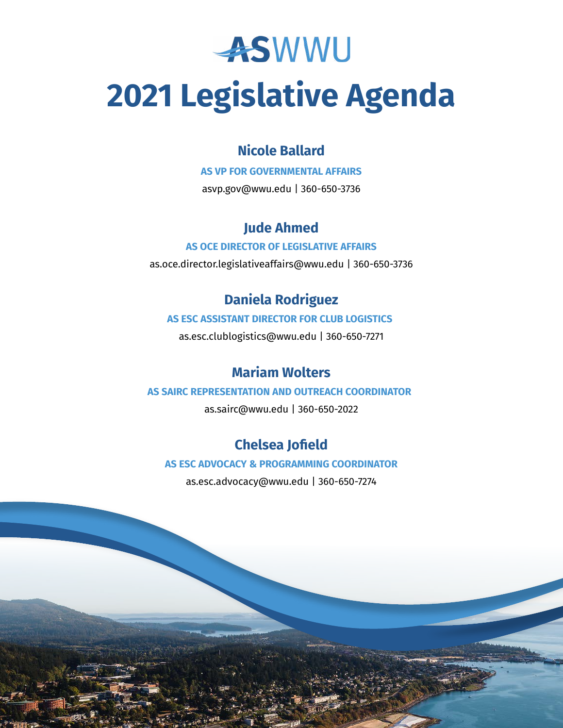

# **2021 Legislative Agenda**

## **Nicole Ballard**

**AS VP FOR GOVERNMENTAL AFFAIRS**

asvp.gov@wwu.edu | 360-650-3736

# **Jude Ahmed**

#### **AS OCE DIRECTOR OF LEGISLATIVE AFFAIRS**

as.oce.director.legislativeaffairs@wwu.edu | 360-650-3736

# **Daniela Rodriguez**

#### **AS ESC ASSISTANT DIRECTOR FOR CLUB LOGISTICS**

as.esc.clublogistics@wwu.edu | 360-650-7271

## **Mariam Wolters**

#### **AS SAIRC REPRESENTATION AND OUTREACH COORDINATOR**

as.sairc@wwu.edu | 360-650-2022

# **Chelsea Jofield**

#### **AS ESC ADVOCACY & PROGRAMMING COORDINATOR**

as.esc.advocacy@wwu.edu | 360-650-7274

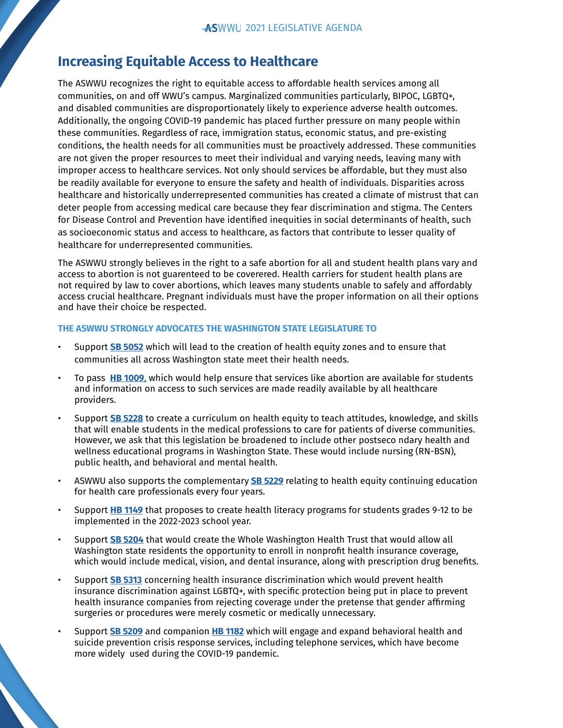## **Increasing Equitable Access to Healthcare**

The ASWWU recognizes the right to equitable access to affordable health services among all communities, on and off WWU's campus. Marginalized communities particularly, BIPOC, LGBTQ+, and disabled communities are disproportionately likely to experience adverse health outcomes. Additionally, the ongoing COVID-19 pandemic has placed further pressure on many people within these communities. Regardless of race, immigration status, economic status, and pre-existing conditions, the health needs for all communities must be proactively addressed. These communities are not given the proper resources to meet their individual and varying needs, leaving many with improper access to healthcare services. Not only should services be affordable, but they must also be readily available for everyone to ensure the safety and health of individuals. Disparities across healthcare and historically underrepresented communities has created a climate of mistrust that can deter people from accessing medical care because they fear discrimination and stigma. The Centers for Disease Control and Prevention have identified inequities in social determinants of health, such as socioeconomic status and access to healthcare, as factors that contribute to lesser quality of healthcare for underrepresented communities.

The ASWWU strongly believes in the right to a safe abortion for all and student health plans vary and access to abortion is not guarenteed to be coverered. Health carriers for student health plans are not required by law to cover abortions, which leaves many students unable to safely and affordably access crucial healthcare. Pregnant individuals must have the proper information on all their options and have their choice be respected.

- Support **[SB 5052](https://app.leg.wa.gov/billsummary?BillNumber=5052&Initiative=false&Year=2021)** which will lead to the creation of health equity zones and to ensure that communities all across Washington state meet their health needs.
- To pass **[HB 1009](https://app.leg.wa.gov/billsummary?BillNumber=1009&Year=2021)**, which would help ensure that services like abortion are available for students and information on access to such services are made readily available by all healthcare providers.
- Support **[SB 5228](https://app.leg.wa.gov/billsummary?BillNumber=5228&Initiative=false&Year=2021)** to create a curriculum on health equity to teach attitudes, knowledge, and skills that will enable students in the medical professions to care for patients of diverse communities. However, we ask that this legislation be broadened to include other postseco ndary health and wellness educational programs in Washington State. These would include nursing (RN-BSN), public health, and behavioral and mental health.
- ASWWU also supports the complementary **[SB 5229](https://app.leg.wa.gov/billsummary?BillNumber=5229&Initiative=false&Year=2021)** relating to health equity continuing education for health care professionals every four years.
- Support **[HB 1149](https://app.leg.wa.gov/billsummary?BillNumber=1149&Initiative=false&Year=2021)** that proposes to create health literacy programs for students grades 9-12 to be implemented in the 2022-2023 school year.
- Support **[SB 5204](https://app.leg.wa.gov/billsummary?BillNumber=5204&Initiative=false&Year=2021)** that would create the Whole Washington Health Trust that would allow all Washington state residents the opportunity to enroll in nonprofit health insurance coverage, which would include medical, vision, and dental insurance, along with prescription drug benefits.
- Support **[SB 5313](https://app.leg.wa.gov/billsummary?BillNumber=5313&Initiative=false&Year=2021)** concerning health insurance discrimination which would prevent health insurance discrimination against LGBTQ+, with specific protection being put in place to prevent health insurance companies from rejecting coverage under the pretense that gender affirming surgeries or procedures were merely cosmetic or medically unnecessary.
- Support **[SB 5209](https://app.leg.wa.gov/billsummary?BillNumber=5209&Initiative=false&Year=2021)** and companion **[HB 1182](https://app.leg.wa.gov/billsummary?BillNumber=1182&Initiative=false&Year=2021)** which will engage and expand behavioral health and suicide prevention crisis response services, including telephone services, which have become more widely used during the COVID-19 pandemic.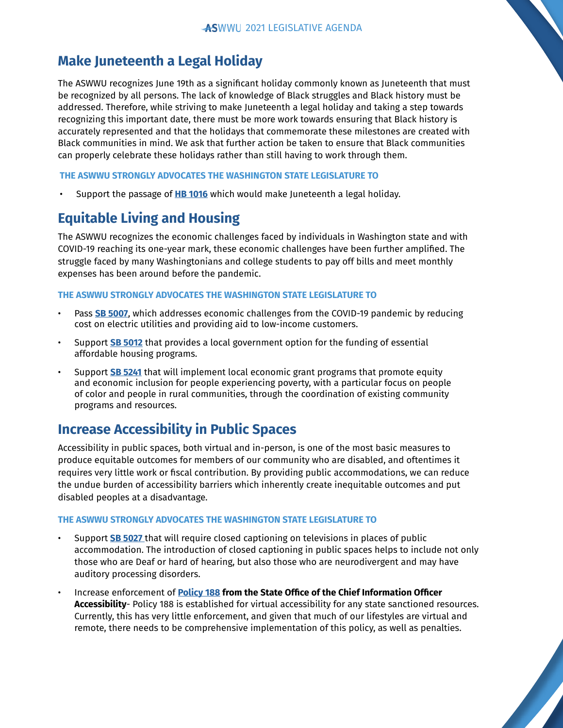## **Make Juneteenth a Legal Holiday**

The ASWWU recognizes June 19th as a significant holiday commonly known as Juneteenth that must be recognized by all persons. The lack of knowledge of Black struggles and Black history must be addressed. Therefore, while striving to make Juneteenth a legal holiday and taking a step towards recognizing this important date, there must be more work towards ensuring that Black history is accurately represented and that the holidays that commemorate these milestones are created with Black communities in mind. We ask that further action be taken to ensure that Black communities can properly celebrate these holidays rather than still having to work through them.

#### **THE ASWWU STRONGLY ADVOCATES THE WASHINGTON STATE LEGISLATURE TO**

• Support the passage of **[HB 1016](http://HB 1016)** which would make Juneteenth a legal holiday.

## **Equitable Living and Housing**

The ASWWU recognizes the economic challenges faced by individuals in Washington state and with COVID-19 reaching its one-year mark, these economic challenges have been further amplified. The struggle faced by many Washingtonians and college students to pay off bills and meet monthly expenses has been around before the pandemic.

#### **THE ASWWU STRONGLY ADVOCATES THE WASHINGTON STATE LEGISLATURE TO**

- Pass **[SB 5007](https://app.leg.wa.gov/billsummary?BillNumber=5007&Initiative=false&Year=2021)**, which addresses economic challenges from the COVID-19 pandemic by reducing cost on electric utilities and providing aid to low-income customers.
- Support **[SB 5012](https://app.leg.wa.gov/billsummary?BillNumber=5012&Initiative=false&Year=2021)** that provides a local government option for the funding of essential affordable housing programs.
- Support **[SB 5241](https://app.leg.wa.gov/billsummary?BillNumber=5241&Initiative=false&Year=2021)** that will implement local economic grant programs that promote equity and economic inclusion for people experiencing poverty, with a particular focus on people of color and people in rural communities, through the coordination of existing community programs and resources.

## **Increase Accessibility in Public Spaces**

Accessibility in public spaces, both virtual and in-person, is one of the most basic measures to produce equitable outcomes for members of our community who are disabled, and oftentimes it requires very little work or fiscal contribution. By providing public accommodations, we can reduce the undue burden of accessibility barriers which inherently create inequitable outcomes and put disabled peoples at a disadvantage.

- Support **[SB 5027](https://app.leg.wa.gov/billsummary?BillNumber=5027&Initiative=false&Year=2021)** that will require closed captioning on televisions in places of public accommodation. The introduction of closed captioning in public spaces helps to include not only those who are Deaf or hard of hearing, but also those who are neurodivergent and may have auditory processing disorders.
- Increase enforcement of **[Policy 188](https://ocio.wa.gov/policy/accessibility) from the State Office of the Chief Information Officer Accessibility**- Policy 188 is established for virtual accessibility for any state sanctioned resources. Currently, this has very little enforcement, and given that much of our lifestyles are virtual and remote, there needs to be comprehensive implementation of this policy, as well as penalties.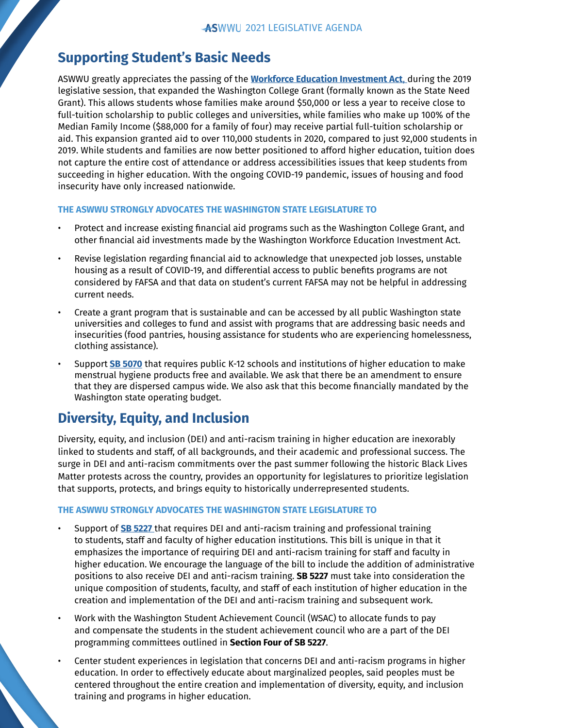## **Supporting Student's Basic Needs**

ASWWU greatly appreciates the passing of the **[Workforce Education Investment Act](https://www.seattletimes.com/education-lab/110000-washington-students-a-year-will-get-money-for-college-many-a-free-ride/)**, during the 2019 legislative session, that expanded the Washington College Grant (formally known as the State Need Grant). This allows students whose families make around \$50,000 or less a year to receive close to full-tuition scholarship to public colleges and universities, while families who make up 100% of the Median Family Income (\$88,000 for a family of four) may receive partial full-tuition scholarship or aid. This expansion granted aid to over 110,000 students in 2020, compared to just 92,000 students in 2019. While students and families are now better positioned to afford higher education, tuition does not capture the entire cost of attendance or address accessibilities issues that keep students from succeeding in higher education. With the ongoing COVID-19 pandemic, issues of housing and food insecurity have only increased nationwide.

#### **THE ASWWU STRONGLY ADVOCATES THE WASHINGTON STATE LEGISLATURE TO**

- Protect and increase existing financial aid programs such as the Washington College Grant, and other financial aid investments made by the Washington Workforce Education Investment Act.
- Revise legislation regarding financial aid to acknowledge that unexpected job losses, unstable housing as a result of COVID-19, and differential access to public benefits programs are not considered by FAFSA and that data on student's current FAFSA may not be helpful in addressing current needs.
- Create a grant program that is sustainable and can be accessed by all public Washington state universities and colleges to fund and assist with programs that are addressing basic needs and insecurities (food pantries, housing assistance for students who are experiencing homelessness, clothing assistance).
- Support **[SB 5070](https://app.leg.wa.gov/billsummary?BillNumber=5070&Initiative=false&Year=2021)** that requires public K-12 schools and institutions of higher education to make menstrual hygiene products free and available. We ask that there be an amendment to ensure that they are dispersed campus wide. We also ask that this become financially mandated by the Washington state operating budget.

## **Diversity, Equity, and Inclusion**

Diversity, equity, and inclusion (DEI) and anti-racism training in higher education are inexorably linked to students and staff, of all backgrounds, and their academic and professional success. The surge in DEI and anti-racism commitments over the past summer following the historic Black Lives Matter protests across the country, provides an opportunity for legislatures to prioritize legislation that supports, protects, and brings equity to historically underrepresented students.

- Support of **[SB 5227](https://app.leg.wa.gov/billsummary?BillNumber=5227&Initiative=false&Year=2021)** that requires DEI and anti-racism training and professional training to students, staff and faculty of higher education institutions. This bill is unique in that it emphasizes the importance of requiring DEI and anti-racism training for staff and faculty in higher education. We encourage the language of the bill to include the addition of administrative positions to also receive DEI and anti-racism training. **SB 5227** must take into consideration the unique composition of students, faculty, and staff of each institution of higher education in the creation and implementation of the DEI and anti-racism training and subsequent work.
- Work with the Washington Student Achievement Council (WSAC) to allocate funds to pay and compensate the students in the student achievement council who are a part of the DEI programming committees outlined in **Section Four of SB 5227**.
- Center student experiences in legislation that concerns DEI and anti-racism programs in higher education. In order to effectively educate about marginalized peoples, said peoples must be centered throughout the entire creation and implementation of diversity, equity, and inclusion training and programs in higher education.